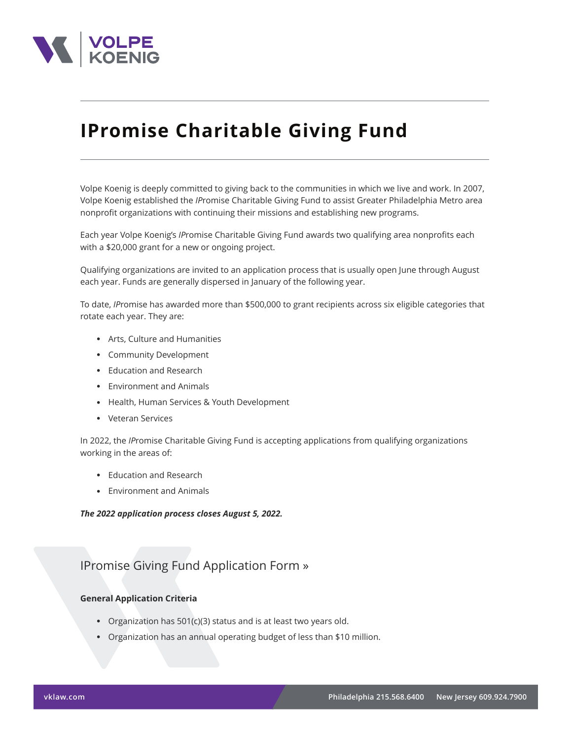

# **IPromise Charitable Giving Fund**

Volpe Koenig is deeply committed to giving back to the communities in which we live and work. In 2007, Volpe Koenig established the *IP*romise Charitable Giving Fund to assist Greater Philadelphia Metro area nonprofit organizations with continuing their missions and establishing new programs.

Each year Volpe Koenig's *IP*romise Charitable Giving Fund awards two qualifying area nonprofits each with a \$20,000 grant for a new or ongoing project.

Qualifying organizations are invited to an application process that is usually open June through August each year. Funds are generally dispersed in January of the following year.

To date, *IP*romise has awarded more than \$500,000 to grant recipients across six eligible categories that rotate each year. They are:

- Arts, Culture and Humanities
- Community Development
- Education and Research
- Environment and Animals
- Health, Human Services & Youth Development
- Veteran Services

In 2022, the *IP*romise Charitable Giving Fund is accepting applications from qualifying organizations working in the areas of:

- Education and Research
- Environment and Animals

### *The 2022 application process closes August 5, 2022.*

# IPromise Giving Fund Application Form »

## **General Application Criteria**

- Organization has 501(c)(3) status and is at least two years old.
- Organization has an annual operating budget of less than \$10 million.